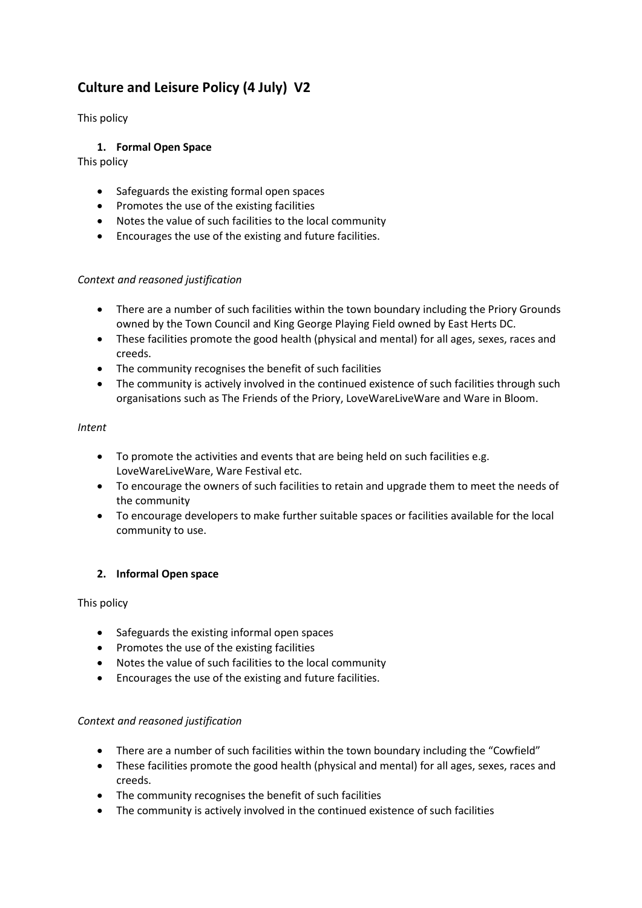# **Culture and Leisure Policy (4 July) V2**

This policy

# **1. Formal Open Space**

This policy

- Safeguards the existing formal open spaces
- Promotes the use of the existing facilities
- Notes the value of such facilities to the local community
- Encourages the use of the existing and future facilities.

## *Context and reasoned justification*

- There are a number of such facilities within the town boundary including the Priory Grounds owned by the Town Council and King George Playing Field owned by East Herts DC.
- These facilities promote the good health (physical and mental) for all ages, sexes, races and creeds.
- The community recognises the benefit of such facilities
- The community is actively involved in the continued existence of such facilities through such organisations such as The Friends of the Priory, LoveWareLiveWare and Ware in Bloom.

## *Intent*

- To promote the activities and events that are being held on such facilities e.g. LoveWareLiveWare, Ware Festival etc.
- To encourage the owners of such facilities to retain and upgrade them to meet the needs of the community
- To encourage developers to make further suitable spaces or facilities available for the local community to use.

# **2. Informal Open space**

This policy

- Safeguards the existing informal open spaces
- Promotes the use of the existing facilities
- Notes the value of such facilities to the local community
- Encourages the use of the existing and future facilities.

# *Context and reasoned justification*

- There are a number of such facilities within the town boundary including the "Cowfield"
- These facilities promote the good health (physical and mental) for all ages, sexes, races and creeds.
- The community recognises the benefit of such facilities
- The community is actively involved in the continued existence of such facilities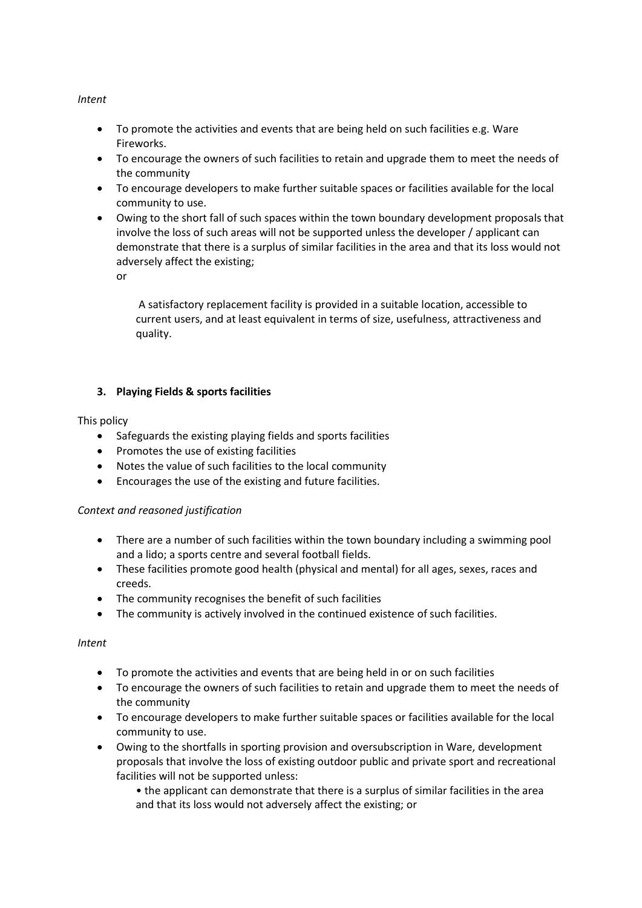## *Intent*

- To promote the activities and events that are being held on such facilities e.g. Ware Fireworks.
- To encourage the owners of such facilities to retain and upgrade them to meet the needs of the community
- To encourage developers to make further suitable spaces or facilities available for the local community to use.
- Owing to the short fall of such spaces within the town boundary development proposals that involve the loss of such areas will not be supported unless the developer / applicant can demonstrate that there is a surplus of similar facilities in the area and that its loss would not adversely affect the existing;

or

A satisfactory replacement facility is provided in a suitable location, accessible to current users, and at least equivalent in terms of size, usefulness, attractiveness and quality.

# **3. Playing Fields & sports facilities**

## This policy

- Safeguards the existing playing fields and sports facilities
- Promotes the use of existing facilities
- Notes the value of such facilities to the local community
- Encourages the use of the existing and future facilities.

# *Context and reasoned justification*

- There are a number of such facilities within the town boundary including a swimming pool and a lido; a sports centre and several football fields.
- These facilities promote good health (physical and mental) for all ages, sexes, races and creeds.
- The community recognises the benefit of such facilities
- The community is actively involved in the continued existence of such facilities.

#### *Intent*

- To promote the activities and events that are being held in or on such facilities
- To encourage the owners of such facilities to retain and upgrade them to meet the needs of the community
- To encourage developers to make further suitable spaces or facilities available for the local community to use.
- Owing to the shortfalls in sporting provision and oversubscription in Ware, development proposals that involve the loss of existing outdoor public and private sport and recreational facilities will not be supported unless:

• the applicant can demonstrate that there is a surplus of similar facilities in the area and that its loss would not adversely affect the existing; or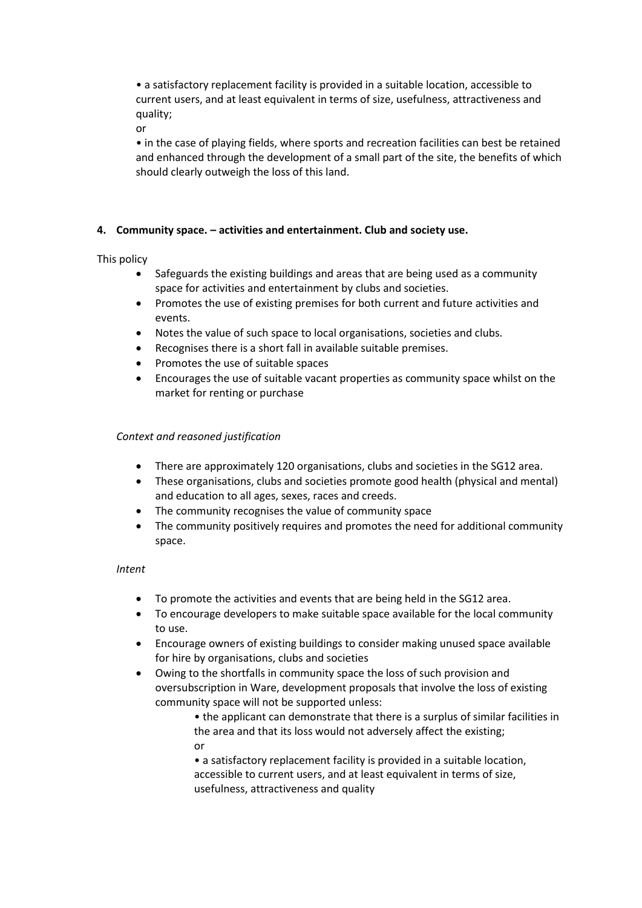• a satisfactory replacement facility is provided in a suitable location, accessible to current users, and at least equivalent in terms of size, usefulness, attractiveness and quality;

or

• in the case of playing fields, where sports and recreation facilities can best be retained and enhanced through the development of a small part of the site, the benefits of which should clearly outweigh the loss of this land.

# **4. Community space. – activities and entertainment. Club and society use.**

# This policy

- Safeguards the existing buildings and areas that are being used as a community space for activities and entertainment by clubs and societies.
- Promotes the use of existing premises for both current and future activities and events.
- Notes the value of such space to local organisations, societies and clubs.
- Recognises there is a short fall in available suitable premises.
- Promotes the use of suitable spaces
- Encourages the use of suitable vacant properties as community space whilst on the market for renting or purchase

# *Context and reasoned justification*

- There are approximately 120 organisations, clubs and societies in the SG12 area.
- These organisations, clubs and societies promote good health (physical and mental) and education to all ages, sexes, races and creeds.
- The community recognises the value of community space
- The community positively requires and promotes the need for additional community space.

#### *Intent*

- To promote the activities and events that are being held in the SG12 area.
- To encourage developers to make suitable space available for the local community to use.
- Encourage owners of existing buildings to consider making unused space available for hire by organisations, clubs and societies
- Owing to the shortfalls in community space the loss of such provision and oversubscription in Ware, development proposals that involve the loss of existing community space will not be supported unless:
	- the applicant can demonstrate that there is a surplus of similar facilities in the area and that its loss would not adversely affect the existing; or

• a satisfactory replacement facility is provided in a suitable location, accessible to current users, and at least equivalent in terms of size, usefulness, attractiveness and quality